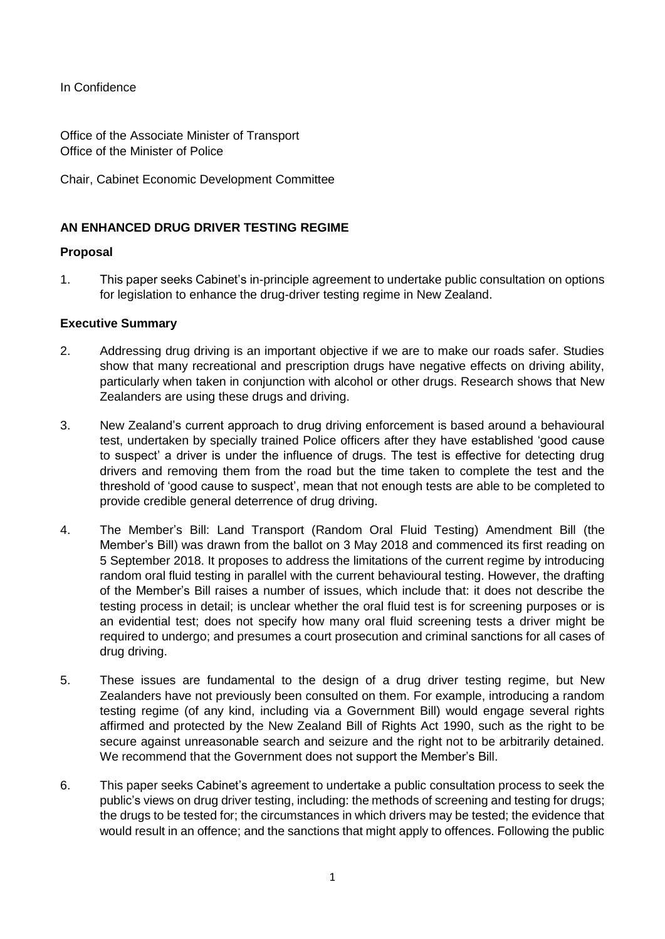In Confidence

Office of the Associate Minister of Transport Office of the Minister of Police

Chair, Cabinet Economic Development Committee

## **AN ENHANCED DRUG DRIVER TESTING REGIME**

### **Proposal**

1. This paper seeks Cabinet's in-principle agreement to undertake public consultation on options for legislation to enhance the drug-driver testing regime in New Zealand.

#### **Executive Summary**

- 2. Addressing drug driving is an important objective if we are to make our roads safer. Studies show that many recreational and prescription drugs have negative effects on driving ability, particularly when taken in conjunction with alcohol or other drugs. Research shows that New Zealanders are using these drugs and driving.
- 3. New Zealand's current approach to drug driving enforcement is based around a behavioural test, undertaken by specially trained Police officers after they have established 'good cause to suspect' a driver is under the influence of drugs. The test is effective for detecting drug drivers and removing them from the road but the time taken to complete the test and the threshold of 'good cause to suspect', mean that not enough tests are able to be completed to provide credible general deterrence of drug driving.
- 4. The Member's Bill: Land Transport (Random Oral Fluid Testing) Amendment Bill (the Member's Bill) was drawn from the ballot on 3 May 2018 and commenced its first reading on 5 September 2018. It proposes to address the limitations of the current regime by introducing random oral fluid testing in parallel with the current behavioural testing. However, the drafting of the Member's Bill raises a number of issues, which include that: it does not describe the testing process in detail; is unclear whether the oral fluid test is for screening purposes or is an evidential test; does not specify how many oral fluid screening tests a driver might be required to undergo; and presumes a court prosecution and criminal sanctions for all cases of drug driving.
- 5. These issues are fundamental to the design of a drug driver testing regime, but New Zealanders have not previously been consulted on them. For example, introducing a random testing regime (of any kind, including via a Government Bill) would engage several rights affirmed and protected by the New Zealand Bill of Rights Act 1990, such as the right to be secure against unreasonable search and seizure and the right not to be arbitrarily detained. We recommend that the Government does not support the Member's Bill.
- 6. This paper seeks Cabinet's agreement to undertake a public consultation process to seek the public's views on drug driver testing, including: the methods of screening and testing for drugs; the drugs to be tested for; the circumstances in which drivers may be tested; the evidence that would result in an offence; and the sanctions that might apply to offences. Following the public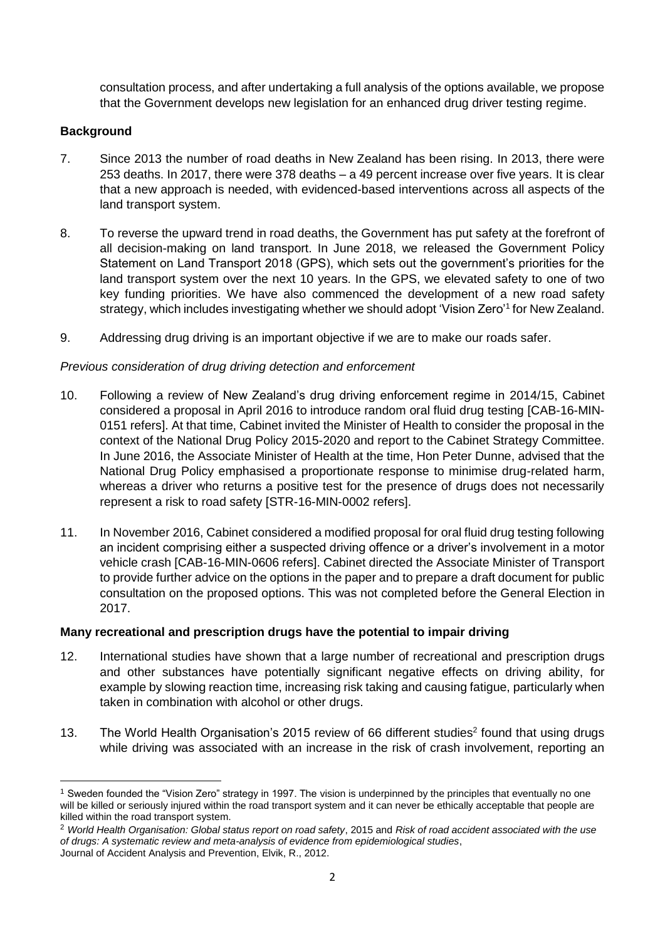consultation process, and after undertaking a full analysis of the options available, we propose that the Government develops new legislation for an enhanced drug driver testing regime.

## **Background**

**.** 

- 7. Since 2013 the number of road deaths in New Zealand has been rising. In 2013, there were 253 deaths. In 2017, there were 378 deaths – a 49 percent increase over five years. It is clear that a new approach is needed, with evidenced-based interventions across all aspects of the land transport system.
- 8. To reverse the upward trend in road deaths, the Government has put safety at the forefront of all decision-making on land transport. In June 2018, we released the Government Policy Statement on Land Transport 2018 (GPS), which sets out the government's priorities for the land transport system over the next 10 years. In the GPS, we elevated safety to one of two key funding priorities. We have also commenced the development of a new road safety strategy, which includes investigating whether we should adopt 'Vision Zero'<sup>1</sup> for New Zealand.
- 9. Addressing drug driving is an important objective if we are to make our roads safer.

## *Previous consideration of drug driving detection and enforcement*

- 10. Following a review of New Zealand's drug driving enforcement regime in 2014/15, Cabinet considered a proposal in April 2016 to introduce random oral fluid drug testing [CAB-16-MIN-0151 refers]. At that time, Cabinet invited the Minister of Health to consider the proposal in the context of the National Drug Policy 2015-2020 and report to the Cabinet Strategy Committee. In June 2016, the Associate Minister of Health at the time, Hon Peter Dunne, advised that the National Drug Policy emphasised a proportionate response to minimise drug-related harm, whereas a driver who returns a positive test for the presence of drugs does not necessarily represent a risk to road safety [STR-16-MIN-0002 refers].
- 11. In November 2016, Cabinet considered a modified proposal for oral fluid drug testing following an incident comprising either a suspected driving offence or a driver's involvement in a motor vehicle crash [CAB-16-MIN-0606 refers]. Cabinet directed the Associate Minister of Transport to provide further advice on the options in the paper and to prepare a draft document for public consultation on the proposed options. This was not completed before the General Election in 2017.

# **Many recreational and prescription drugs have the potential to impair driving**

- 12. International studies have shown that a large number of recreational and prescription drugs and other substances have potentially significant negative effects on driving ability, for example by slowing reaction time, increasing risk taking and causing fatigue, particularly when taken in combination with alcohol or other drugs.
- 13. The World Health Organisation's 2015 review of 66 different studies<sup>2</sup> found that using drugs while driving was associated with an increase in the risk of crash involvement, reporting an

<sup>&</sup>lt;sup>1</sup> Sweden founded the "Vision Zero" strategy in 1997. The vision is underpinned by the principles that eventually no one will be killed or seriously injured within the road transport system and it can never be ethically acceptable that people are killed within the road transport system.

<sup>2</sup> *World Health Organisation: Global status report on road safety*, 2015 and *Risk of road accident associated with the use of drugs: A systematic review and meta-analysis of evidence from epidemiological studies*, Journal of Accident Analysis and Prevention, Elvik, R., 2012.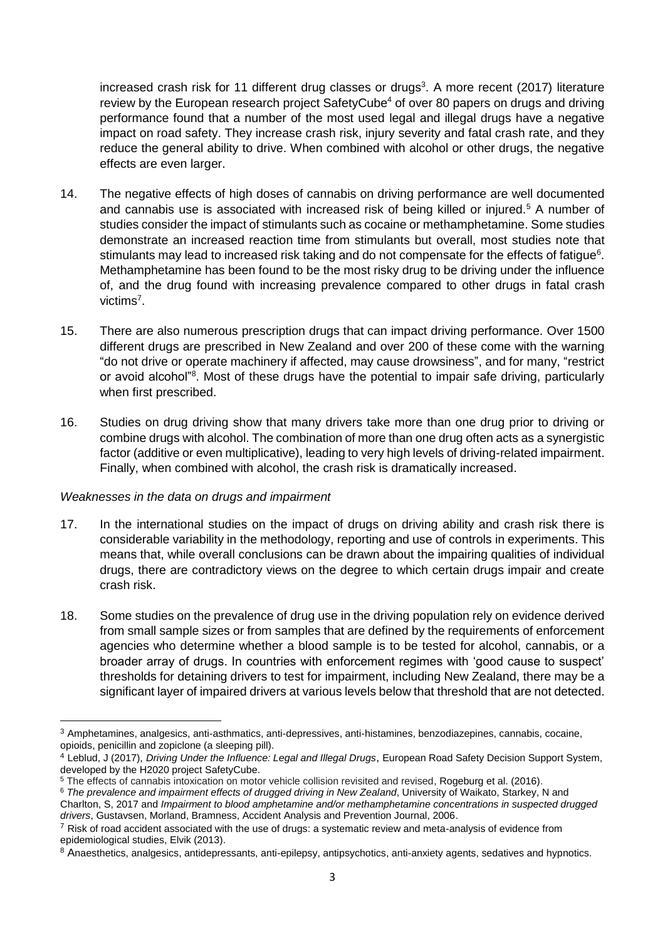increased crash risk for 11 different drug classes or drugs<sup>3</sup>. A more recent (2017) literature review by the European research project SafetyCube<sup>4</sup> of over 80 papers on drugs and driving performance found that a number of the most used legal and illegal drugs have a negative impact on road safety. They increase crash risk, injury severity and fatal crash rate, and they reduce the general ability to drive. When combined with alcohol or other drugs, the negative effects are even larger.

- 14. The negative effects of high doses of cannabis on driving performance are well documented and cannabis use is associated with increased risk of being killed or injured.<sup>5</sup> A number of studies consider the impact of stimulants such as cocaine or methamphetamine. Some studies demonstrate an increased reaction time from stimulants but overall, most studies note that stimulants may lead to increased risk taking and do not compensate for the effects of fatigue<sup>6</sup>. Methamphetamine has been found to be the most risky drug to be driving under the influence of, and the drug found with increasing prevalence compared to other drugs in fatal crash victims<sup>7</sup>.
- 15. There are also numerous prescription drugs that can impact driving performance. Over 1500 different drugs are prescribed in New Zealand and over 200 of these come with the warning "do not drive or operate machinery if affected, may cause drowsiness", and for many, "restrict or avoid alcohol"<sup>8</sup>. Most of these drugs have the potential to impair safe driving, particularly when first prescribed.
- 16. Studies on drug driving show that many drivers take more than one drug prior to driving or combine drugs with alcohol. The combination of more than one drug often acts as a synergistic factor (additive or even multiplicative), leading to very high levels of driving-related impairment. Finally, when combined with alcohol, the crash risk is dramatically increased.

### *Weaknesses in the data on drugs and impairment*

**.** 

- 17. In the international studies on the impact of drugs on driving ability and crash risk there is considerable variability in the methodology, reporting and use of controls in experiments. This means that, while overall conclusions can be drawn about the impairing qualities of individual drugs, there are contradictory views on the degree to which certain drugs impair and create crash risk.
- 18. Some studies on the prevalence of drug use in the driving population rely on evidence derived from small sample sizes or from samples that are defined by the requirements of enforcement agencies who determine whether a blood sample is to be tested for alcohol, cannabis, or a broader array of drugs. In countries with enforcement regimes with 'good cause to suspect' thresholds for detaining drivers to test for impairment, including New Zealand, there may be a significant layer of impaired drivers at various levels below that threshold that are not detected.

<sup>3</sup> Amphetamines, analgesics, anti-asthmatics, anti-depressives, anti-histamines, benzodiazepines, cannabis, cocaine, opioids, penicillin and zopiclone (a sleeping pill).

<sup>4</sup> Leblud, J (2017), *Driving Under the Influence: Legal and Illegal Drugs*, European Road Safety Decision Support System, developed by the H2020 project SafetyCube.

<sup>5</sup> The effects of cannabis intoxication on motor vehicle collision revisited and revised, Rogeburg et al. (2016).

<sup>6</sup> *The prevalence and impairment effects of drugged driving in New Zealand*, University of Waikato, Starkey, N and Charlton, S, 2017 and *Impairment to blood amphetamine and/or methamphetamine concentrations in suspected drugged drivers*, Gustavsen, Morland, Bramness, Accident Analysis and Prevention Journal, 2006.

 $7$  Risk of road accident associated with the use of drugs: a systematic review and meta-analysis of evidence from epidemiological studies, Elvik (2013).

<sup>8</sup> Anaesthetics, analgesics, antidepressants, anti-epilepsy, antipsychotics, anti-anxiety agents, sedatives and hypnotics.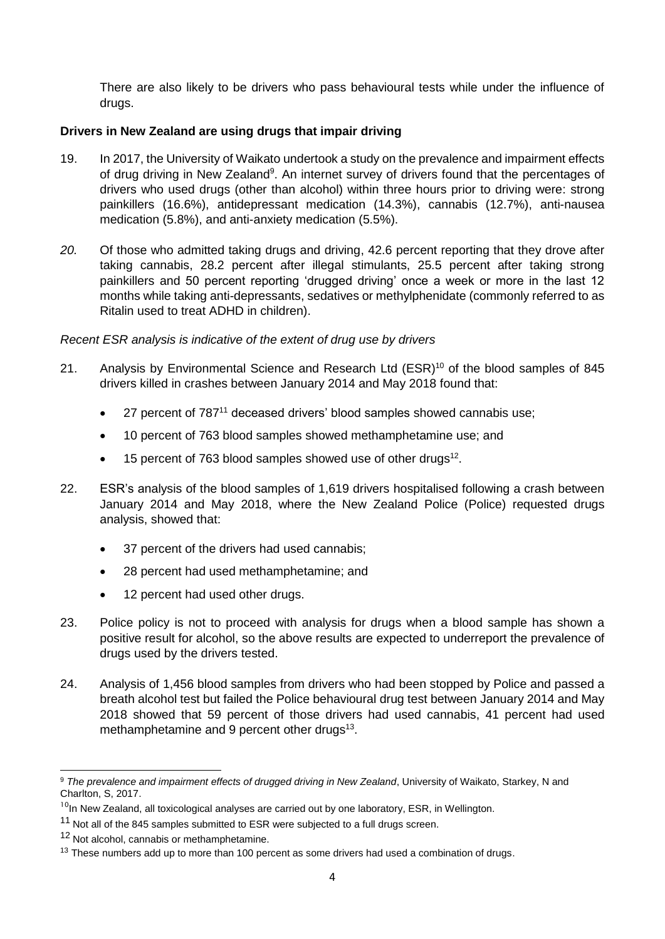There are also likely to be drivers who pass behavioural tests while under the influence of drugs.

## **Drivers in New Zealand are using drugs that impair driving**

- 19. In 2017, the University of Waikato undertook a study on the prevalence and impairment effects of drug driving in New Zealand<sup>9</sup>. An internet survey of drivers found that the percentages of drivers who used drugs (other than alcohol) within three hours prior to driving were: strong painkillers (16.6%), antidepressant medication (14.3%), cannabis (12.7%), anti-nausea medication (5.8%), and anti-anxiety medication (5.5%).
- *20.* Of those who admitted taking drugs and driving, 42.6 percent reporting that they drove after taking cannabis, 28.2 percent after illegal stimulants, 25.5 percent after taking strong painkillers and 50 percent reporting 'drugged driving' once a week or more in the last 12 months while taking anti-depressants, sedatives or methylphenidate (commonly referred to as Ritalin used to treat ADHD in children).

*Recent ESR analysis is indicative of the extent of drug use by drivers*

- 21. Analysis by Environmental Science and Research Ltd (ESR)<sup>10</sup> of the blood samples of 845 drivers killed in crashes between January 2014 and May 2018 found that:
	- 27 percent of 787<sup>11</sup> deceased drivers' blood samples showed cannabis use;
	- 10 percent of 763 blood samples showed methamphetamine use; and
	- $\bullet$  15 percent of 763 blood samples showed use of other drugs<sup>12</sup>.
- 22. ESR's analysis of the blood samples of 1,619 drivers hospitalised following a crash between January 2014 and May 2018, where the New Zealand Police (Police) requested drugs analysis, showed that:
	- 37 percent of the drivers had used cannabis:
	- 28 percent had used methamphetamine; and
	- 12 percent had used other drugs.
- 23. Police policy is not to proceed with analysis for drugs when a blood sample has shown a positive result for alcohol, so the above results are expected to underreport the prevalence of drugs used by the drivers tested.
- 24. Analysis of 1,456 blood samples from drivers who had been stopped by Police and passed a breath alcohol test but failed the Police behavioural drug test between January 2014 and May 2018 showed that 59 percent of those drivers had used cannabis, 41 percent had used methamphetamine and 9 percent other drugs<sup>13</sup>.

 $\overline{a}$ 

<sup>9</sup> *The prevalence and impairment effects of drugged driving in New Zealand*, University of Waikato, Starkey, N and Charlton, S, 2017.

 $10$ In New Zealand, all toxicological analyses are carried out by one laboratory, ESR, in Wellington.

<sup>&</sup>lt;sup>11</sup> Not all of the 845 samples submitted to ESR were subjected to a full drugs screen.

<sup>&</sup>lt;sup>12</sup> Not alcohol, cannabis or methamphetamine.

 $13$  These numbers add up to more than 100 percent as some drivers had used a combination of drugs.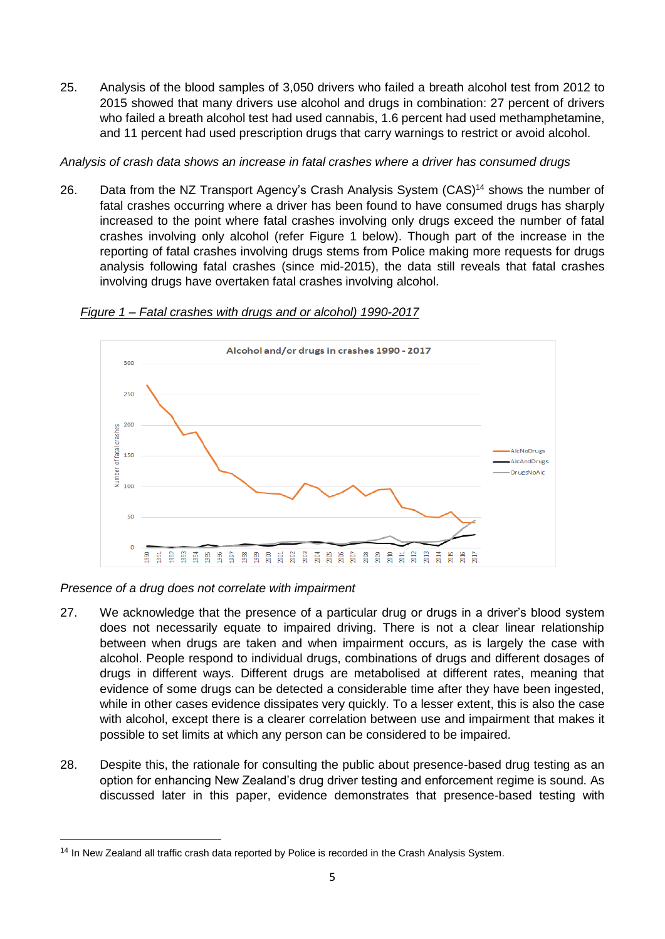25. Analysis of the blood samples of 3,050 drivers who failed a breath alcohol test from 2012 to 2015 showed that many drivers use alcohol and drugs in combination: 27 percent of drivers who failed a breath alcohol test had used cannabis, 1.6 percent had used methamphetamine, and 11 percent had used prescription drugs that carry warnings to restrict or avoid alcohol.

*Analysis of crash data shows an increase in fatal crashes where a driver has consumed drugs*

26. Data from the NZ Transport Agency's Crash Analysis System (CAS)<sup>14</sup> shows the number of fatal crashes occurring where a driver has been found to have consumed drugs has sharply increased to the point where fatal crashes involving only drugs exceed the number of fatal crashes involving only alcohol (refer Figure 1 below). Though part of the increase in the reporting of fatal crashes involving drugs stems from Police making more requests for drugs analysis following fatal crashes (since mid-2015), the data still reveals that fatal crashes involving drugs have overtaken fatal crashes involving alcohol.



### *Figure 1 – Fatal crashes with drugs and or alcohol) 1990-2017*

*Presence of a drug does not correlate with impairment*

**.** 

- 27. We acknowledge that the presence of a particular drug or drugs in a driver's blood system does not necessarily equate to impaired driving. There is not a clear linear relationship between when drugs are taken and when impairment occurs, as is largely the case with alcohol. People respond to individual drugs, combinations of drugs and different dosages of drugs in different ways. Different drugs are metabolised at different rates, meaning that evidence of some drugs can be detected a considerable time after they have been ingested, while in other cases evidence dissipates very quickly. To a lesser extent, this is also the case with alcohol, except there is a clearer correlation between use and impairment that makes it possible to set limits at which any person can be considered to be impaired.
- 28. Despite this, the rationale for consulting the public about presence-based drug testing as an option for enhancing New Zealand's drug driver testing and enforcement regime is sound. As discussed later in this paper, evidence demonstrates that presence-based testing with

<sup>&</sup>lt;sup>14</sup> In New Zealand all traffic crash data reported by Police is recorded in the Crash Analysis System.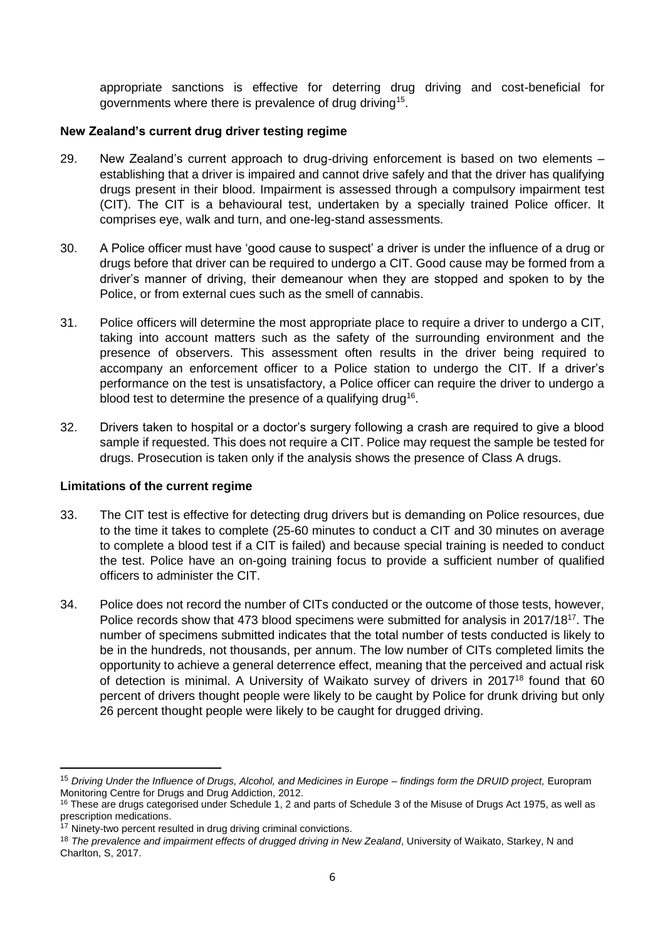appropriate sanctions is effective for deterring drug driving and cost-beneficial for governments where there is prevalence of drug driving<sup>15</sup>.

### **New Zealand's current drug driver testing regime**

- 29. New Zealand's current approach to drug-driving enforcement is based on two elements establishing that a driver is impaired and cannot drive safely and that the driver has qualifying drugs present in their blood. Impairment is assessed through a compulsory impairment test (CIT). The CIT is a behavioural test, undertaken by a specially trained Police officer. It comprises eye, walk and turn, and one-leg-stand assessments.
- 30. A Police officer must have 'good cause to suspect' a driver is under the influence of a drug or drugs before that driver can be required to undergo a CIT. Good cause may be formed from a driver's manner of driving, their demeanour when they are stopped and spoken to by the Police, or from external cues such as the smell of cannabis.
- 31. Police officers will determine the most appropriate place to require a driver to undergo a CIT, taking into account matters such as the safety of the surrounding environment and the presence of observers. This assessment often results in the driver being required to accompany an enforcement officer to a Police station to undergo the CIT. If a driver's performance on the test is unsatisfactory, a Police officer can require the driver to undergo a blood test to determine the presence of a qualifying drug<sup>16</sup>.
- 32. Drivers taken to hospital or a doctor's surgery following a crash are required to give a blood sample if requested. This does not require a CIT. Police may request the sample be tested for drugs. Prosecution is taken only if the analysis shows the presence of Class A drugs.

### **Limitations of the current regime**

**.** 

- 33. The CIT test is effective for detecting drug drivers but is demanding on Police resources, due to the time it takes to complete (25-60 minutes to conduct a CIT and 30 minutes on average to complete a blood test if a CIT is failed) and because special training is needed to conduct the test. Police have an on-going training focus to provide a sufficient number of qualified officers to administer the CIT.
- 34. Police does not record the number of CITs conducted or the outcome of those tests, however, Police records show that 473 blood specimens were submitted for analysis in 2017/18<sup>17</sup>. The number of specimens submitted indicates that the total number of tests conducted is likely to be in the hundreds, not thousands, per annum. The low number of CITs completed limits the opportunity to achieve a general deterrence effect, meaning that the perceived and actual risk of detection is minimal. A University of Waikato survey of drivers in 2017<sup>18</sup> found that 60 percent of drivers thought people were likely to be caught by Police for drunk driving but only 26 percent thought people were likely to be caught for drugged driving.

<sup>15</sup> *Driving Under the Influence of Drugs, Alcohol, and Medicines in Europe – findings form the DRUID project,* Europram Monitoring Centre for Drugs and Drug Addiction, 2012.

<sup>&</sup>lt;sup>16</sup> These are drugs categorised under Schedule 1, 2 and parts of Schedule 3 of the Misuse of Drugs Act 1975, as well as prescription medications.

<sup>&</sup>lt;sup>17</sup> Ninety-two percent resulted in drug driving criminal convictions.

<sup>18</sup> *The prevalence and impairment effects of drugged driving in New Zealand*, University of Waikato, Starkey, N and Charlton, S, 2017.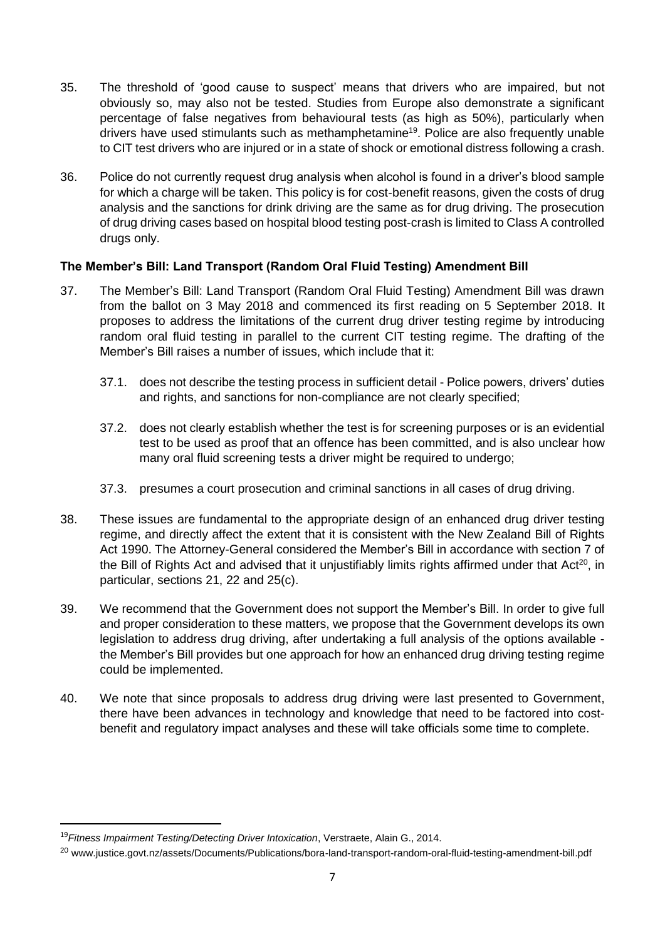- 35. The threshold of 'good cause to suspect' means that drivers who are impaired, but not obviously so, may also not be tested. Studies from Europe also demonstrate a significant percentage of false negatives from behavioural tests (as high as 50%), particularly when drivers have used stimulants such as methamphetamine<sup>19</sup>. Police are also frequently unable to CIT test drivers who are injured or in a state of shock or emotional distress following a crash.
- 36. Police do not currently request drug analysis when alcohol is found in a driver's blood sample for which a charge will be taken. This policy is for cost-benefit reasons, given the costs of drug analysis and the sanctions for drink driving are the same as for drug driving. The prosecution of drug driving cases based on hospital blood testing post-crash is limited to Class A controlled drugs only.

## **The Member's Bill: Land Transport (Random Oral Fluid Testing) Amendment Bill**

- 37. The Member's Bill: Land Transport (Random Oral Fluid Testing) Amendment Bill was drawn from the ballot on 3 May 2018 and commenced its first reading on 5 September 2018. It proposes to address the limitations of the current drug driver testing regime by introducing random oral fluid testing in parallel to the current CIT testing regime. The drafting of the Member's Bill raises a number of issues, which include that it:
	- 37.1. does not describe the testing process in sufficient detail Police powers, drivers' duties and rights, and sanctions for non-compliance are not clearly specified;
	- 37.2. does not clearly establish whether the test is for screening purposes or is an evidential test to be used as proof that an offence has been committed, and is also unclear how many oral fluid screening tests a driver might be required to undergo;
	- 37.3. presumes a court prosecution and criminal sanctions in all cases of drug driving.
- 38. These issues are fundamental to the appropriate design of an enhanced drug driver testing regime, and directly affect the extent that it is consistent with the New Zealand Bill of Rights Act 1990. The Attorney-General considered the Member's Bill in accordance with section 7 of the Bill of Rights Act and advised that it unjustifiably limits rights affirmed under that Act<sup>20</sup>, in particular, sections 21, 22 and 25(c).
- 39. We recommend that the Government does not support the Member's Bill. In order to give full and proper consideration to these matters, we propose that the Government develops its own legislation to address drug driving, after undertaking a full analysis of the options available the Member's Bill provides but one approach for how an enhanced drug driving testing regime could be implemented.
- 40. We note that since proposals to address drug driving were last presented to Government, there have been advances in technology and knowledge that need to be factored into costbenefit and regulatory impact analyses and these will take officials some time to complete.

1

<sup>19</sup>*Fitness Impairment Testing/Detecting Driver Intoxication*, Verstraete, [Alain G., 2014.](https://onlinelibrary.wiley.com/action/doSearch?ContribAuthorStored=Verstraete%2C+Alain+G)

<sup>20</sup> www.justice.govt.nz/assets/Documents/Publications/bora-land-transport-random-oral-fluid-testing-amendment-bill.pdf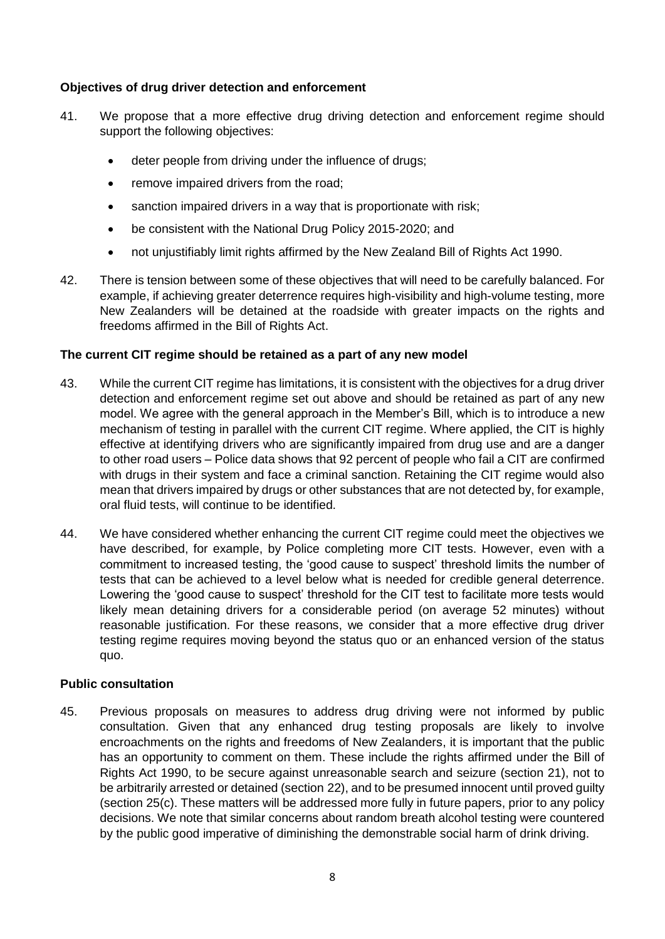## **Objectives of drug driver detection and enforcement**

- 41. We propose that a more effective drug driving detection and enforcement regime should support the following objectives:
	- deter people from driving under the influence of drugs;
	- remove impaired drivers from the road;
	- sanction impaired drivers in a way that is proportionate with risk;
	- be consistent with the National Drug Policy 2015-2020; and
	- not unjustifiably limit rights affirmed by the New Zealand Bill of Rights Act 1990.
- 42. There is tension between some of these objectives that will need to be carefully balanced. For example, if achieving greater deterrence requires high-visibility and high-volume testing, more New Zealanders will be detained at the roadside with greater impacts on the rights and freedoms affirmed in the Bill of Rights Act.

### **The current CIT regime should be retained as a part of any new model**

- 43. While the current CIT regime has limitations, it is consistent with the objectives for a drug driver detection and enforcement regime set out above and should be retained as part of any new model. We agree with the general approach in the Member's Bill, which is to introduce a new mechanism of testing in parallel with the current CIT regime. Where applied, the CIT is highly effective at identifying drivers who are significantly impaired from drug use and are a danger to other road users – Police data shows that 92 percent of people who fail a CIT are confirmed with drugs in their system and face a criminal sanction. Retaining the CIT regime would also mean that drivers impaired by drugs or other substances that are not detected by, for example, oral fluid tests, will continue to be identified.
- 44. We have considered whether enhancing the current CIT regime could meet the objectives we have described, for example, by Police completing more CIT tests. However, even with a commitment to increased testing, the 'good cause to suspect' threshold limits the number of tests that can be achieved to a level below what is needed for credible general deterrence. Lowering the 'good cause to suspect' threshold for the CIT test to facilitate more tests would likely mean detaining drivers for a considerable period (on average 52 minutes) without reasonable justification. For these reasons, we consider that a more effective drug driver testing regime requires moving beyond the status quo or an enhanced version of the status quo.

### **Public consultation**

45. Previous proposals on measures to address drug driving were not informed by public consultation. Given that any enhanced drug testing proposals are likely to involve encroachments on the rights and freedoms of New Zealanders, it is important that the public has an opportunity to comment on them. These include the rights affirmed under the Bill of Rights Act 1990, to be secure against unreasonable search and seizure (section 21), not to be arbitrarily arrested or detained (section 22), and to be presumed innocent until proved guilty (section 25(c). These matters will be addressed more fully in future papers, prior to any policy decisions. We note that similar concerns about random breath alcohol testing were countered by the public good imperative of diminishing the demonstrable social harm of drink driving.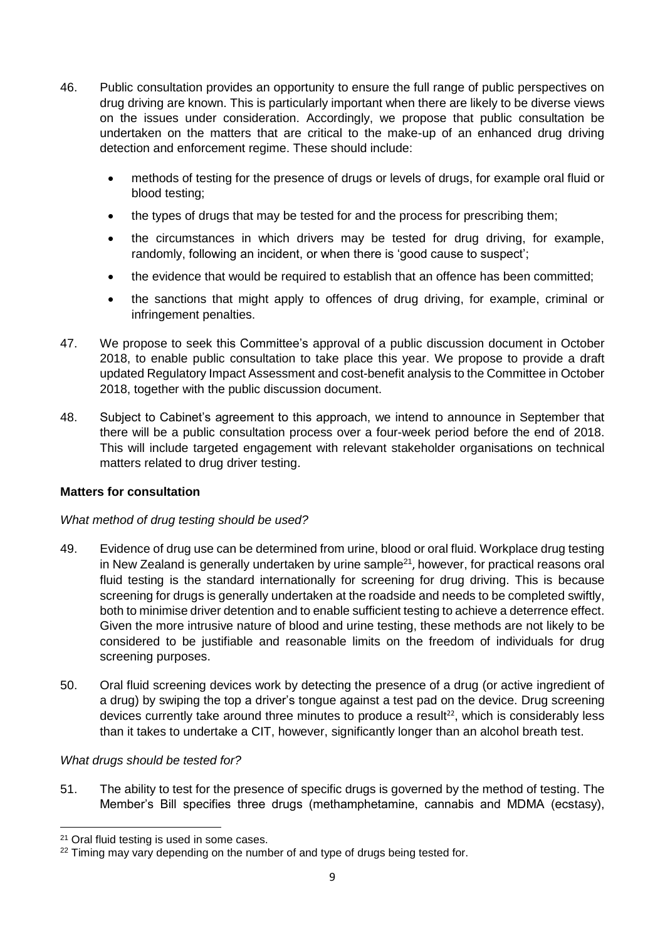- 46. Public consultation provides an opportunity to ensure the full range of public perspectives on drug driving are known. This is particularly important when there are likely to be diverse views on the issues under consideration. Accordingly, we propose that public consultation be undertaken on the matters that are critical to the make-up of an enhanced drug driving detection and enforcement regime. These should include:
	- methods of testing for the presence of drugs or levels of drugs, for example oral fluid or blood testing;
	- the types of drugs that may be tested for and the process for prescribing them;
	- the circumstances in which drivers may be tested for drug driving, for example, randomly, following an incident, or when there is 'good cause to suspect';
	- the evidence that would be required to establish that an offence has been committed;
	- the sanctions that might apply to offences of drug driving, for example, criminal or infringement penalties.
- 47. We propose to seek this Committee's approval of a public discussion document in October 2018, to enable public consultation to take place this year. We propose to provide a draft updated Regulatory Impact Assessment and cost-benefit analysis to the Committee in October 2018, together with the public discussion document.
- 48. Subject to Cabinet's agreement to this approach, we intend to announce in September that there will be a public consultation process over a four-week period before the end of 2018. This will include targeted engagement with relevant stakeholder organisations on technical matters related to drug driver testing.

# **Matters for consultation**

### *What method of drug testing should be used?*

- 49. Evidence of drug use can be determined from urine, blood or oral fluid. Workplace drug testing in New Zealand is generally undertaken by urine sample<sup>21</sup>, however, for practical reasons oral fluid testing is the standard internationally for screening for drug driving. This is because screening for drugs is generally undertaken at the roadside and needs to be completed swiftly. both to minimise driver detention and to enable sufficient testing to achieve a deterrence effect. Given the more intrusive nature of blood and urine testing, these methods are not likely to be considered to be justifiable and reasonable limits on the freedom of individuals for drug screening purposes.
- 50. Oral fluid screening devices work by detecting the presence of a drug (or active ingredient of a drug) by swiping the top a driver's tongue against a test pad on the device. Drug screening devices currently take around three minutes to produce a result<sup>22</sup>, which is considerably less than it takes to undertake a CIT, however, significantly longer than an alcohol breath test.

### *What drugs should be tested for?*

1

51. The ability to test for the presence of specific drugs is governed by the method of testing. The Member's Bill specifies three drugs (methamphetamine, cannabis and MDMA (ecstasy),

<sup>21</sup> Oral fluid testing is used in some cases.

 $22$  Timing may vary depending on the number of and type of drugs being tested for.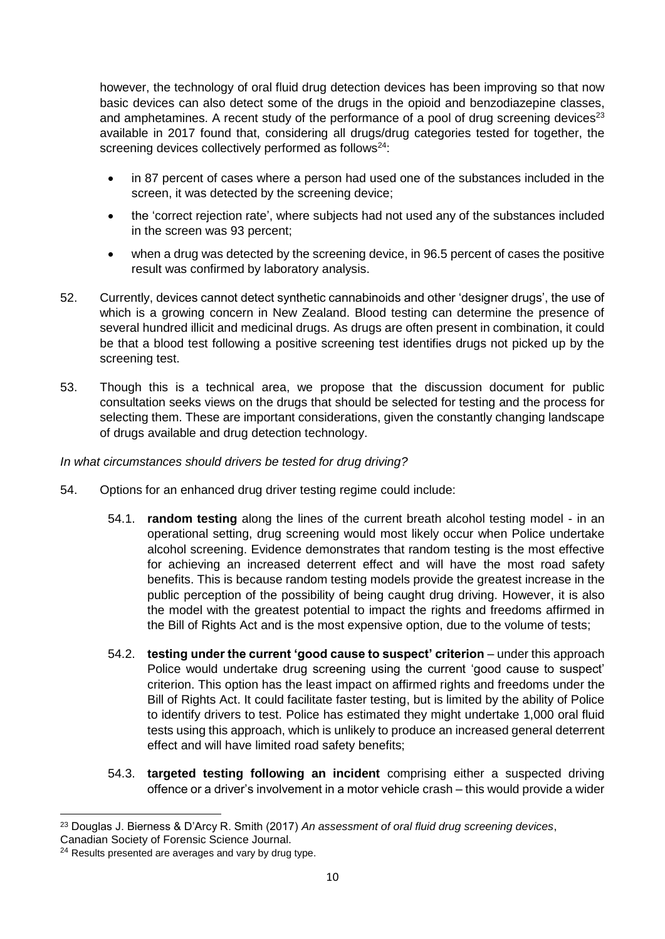however, the technology of oral fluid drug detection devices has been improving so that now basic devices can also detect some of the drugs in the opioid and benzodiazepine classes, and amphetamines. A recent study of the performance of a pool of drug screening devices<sup>23</sup> available in 2017 found that, considering all drugs/drug categories tested for together, the screening devices collectively performed as follows<sup>24</sup>:

- in 87 percent of cases where a person had used one of the substances included in the screen, it was detected by the screening device;
- the 'correct rejection rate', where subjects had not used any of the substances included in the screen was 93 percent;
- when a drug was detected by the screening device, in 96.5 percent of cases the positive result was confirmed by laboratory analysis.
- 52. Currently, devices cannot detect synthetic cannabinoids and other 'designer drugs', the use of which is a growing concern in New Zealand. Blood testing can determine the presence of several hundred illicit and medicinal drugs. As drugs are often present in combination, it could be that a blood test following a positive screening test identifies drugs not picked up by the screening test.
- 53. Though this is a technical area, we propose that the discussion document for public consultation seeks views on the drugs that should be selected for testing and the process for selecting them. These are important considerations, given the constantly changing landscape of drugs available and drug detection technology.

## *In what circumstances should drivers be tested for drug driving?*

- 54. Options for an enhanced drug driver testing regime could include:
	- 54.1. **random testing** along the lines of the current breath alcohol testing model in an operational setting, drug screening would most likely occur when Police undertake alcohol screening. Evidence demonstrates that random testing is the most effective for achieving an increased deterrent effect and will have the most road safety benefits. This is because random testing models provide the greatest increase in the public perception of the possibility of being caught drug driving. However, it is also the model with the greatest potential to impact the rights and freedoms affirmed in the Bill of Rights Act and is the most expensive option, due to the volume of tests;
	- 54.2. **testing under the current 'good cause to suspect' criterion** under this approach Police would undertake drug screening using the current 'good cause to suspect' criterion. This option has the least impact on affirmed rights and freedoms under the Bill of Rights Act. It could facilitate faster testing, but is limited by the ability of Police to identify drivers to test. Police has estimated they might undertake 1,000 oral fluid tests using this approach, which is unlikely to produce an increased general deterrent effect and will have limited road safety benefits;
	- 54.3. **targeted testing following an incident** comprising either a suspected driving offence or a driver's involvement in a motor vehicle crash – this would provide a wider

 $\overline{a}$ <sup>23</sup> Douglas J. Bierness & D'Arcy R. Smith (2017) *An assessment of oral fluid drug screening devices*,

Canadian Society of Forensic Science Journal.

<sup>&</sup>lt;sup>24</sup> Results presented are averages and vary by drug type.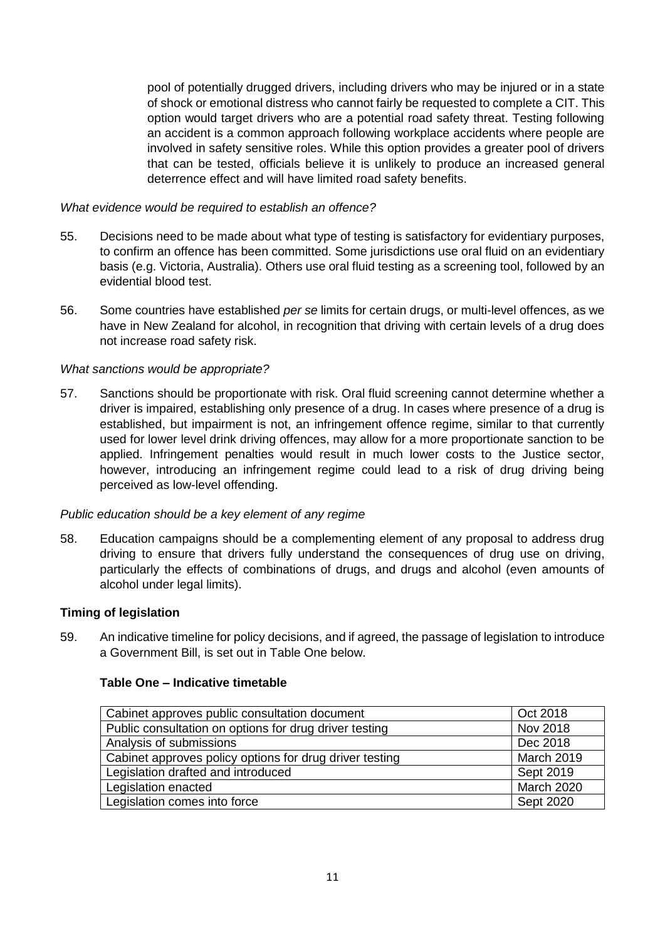pool of potentially drugged drivers, including drivers who may be injured or in a state of shock or emotional distress who cannot fairly be requested to complete a CIT. This option would target drivers who are a potential road safety threat. Testing following an accident is a common approach following workplace accidents where people are involved in safety sensitive roles. While this option provides a greater pool of drivers that can be tested, officials believe it is unlikely to produce an increased general deterrence effect and will have limited road safety benefits.

### *What evidence would be required to establish an offence?*

- 55. Decisions need to be made about what type of testing is satisfactory for evidentiary purposes, to confirm an offence has been committed. Some jurisdictions use oral fluid on an evidentiary basis (e.g. Victoria, Australia). Others use oral fluid testing as a screening tool, followed by an evidential blood test.
- 56. Some countries have established *per se* limits for certain drugs, or multi-level offences, as we have in New Zealand for alcohol, in recognition that driving with certain levels of a drug does not increase road safety risk.

### *What sanctions would be appropriate?*

57. Sanctions should be proportionate with risk. Oral fluid screening cannot determine whether a driver is impaired, establishing only presence of a drug. In cases where presence of a drug is established, but impairment is not, an infringement offence regime, similar to that currently used for lower level drink driving offences, may allow for a more proportionate sanction to be applied. Infringement penalties would result in much lower costs to the Justice sector, however, introducing an infringement regime could lead to a risk of drug driving being perceived as low-level offending.

### *Public education should be a key element of any regime*

58. Education campaigns should be a complementing element of any proposal to address drug driving to ensure that drivers fully understand the consequences of drug use on driving, particularly the effects of combinations of drugs, and drugs and alcohol (even amounts of alcohol under legal limits).

### **Timing of legislation**

59. An indicative timeline for policy decisions, and if agreed, the passage of legislation to introduce a Government Bill, is set out in Table One below.

### **Table One – Indicative timetable**

| Cabinet approves public consultation document           | Oct 2018     |
|---------------------------------------------------------|--------------|
| Public consultation on options for drug driver testing  | Nov 2018     |
| Analysis of submissions                                 | Dec 2018     |
| Cabinet approves policy options for drug driver testing | March 2019   |
| Legislation drafted and introduced                      | Sept 2019    |
| Legislation enacted                                     | March $2020$ |
| Legislation comes into force                            | Sept 2020    |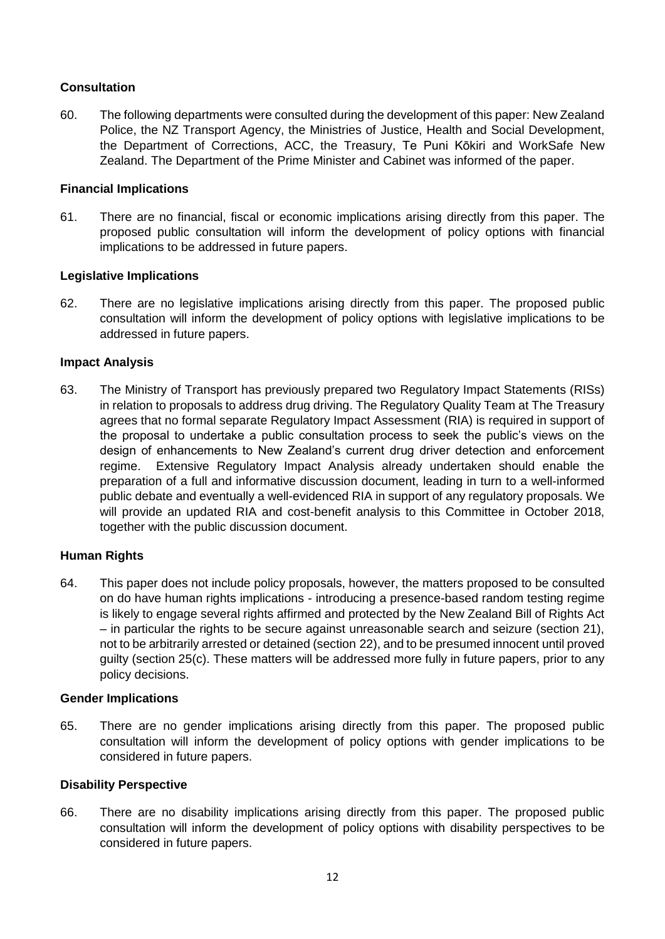# **Consultation**

60. The following departments were consulted during the development of this paper: New Zealand Police, the NZ Transport Agency, the Ministries of Justice, Health and Social Development, the Department of Corrections, ACC, the Treasury, Te Puni Kōkiri and WorkSafe New Zealand. The Department of the Prime Minister and Cabinet was informed of the paper.

## **Financial Implications**

61. There are no financial, fiscal or economic implications arising directly from this paper. The proposed public consultation will inform the development of policy options with financial implications to be addressed in future papers.

## **Legislative Implications**

62. There are no legislative implications arising directly from this paper. The proposed public consultation will inform the development of policy options with legislative implications to be addressed in future papers.

### **Impact Analysis**

63. The Ministry of Transport has previously prepared two Regulatory Impact Statements (RISs) in relation to proposals to address drug driving. The Regulatory Quality Team at The Treasury agrees that no formal separate Regulatory Impact Assessment (RIA) is required in support of the proposal to undertake a public consultation process to seek the public's views on the design of enhancements to New Zealand's current drug driver detection and enforcement regime. Extensive Regulatory Impact Analysis already undertaken should enable the preparation of a full and informative discussion document, leading in turn to a well-informed public debate and eventually a well-evidenced RIA in support of any regulatory proposals. We will provide an updated RIA and cost-benefit analysis to this Committee in October 2018, together with the public discussion document.

# **Human Rights**

64. This paper does not include policy proposals, however, the matters proposed to be consulted on do have human rights implications - introducing a presence-based random testing regime is likely to engage several rights affirmed and protected by the New Zealand Bill of Rights Act – in particular the rights to be secure against unreasonable search and seizure (section 21), not to be arbitrarily arrested or detained (section 22), and to be presumed innocent until proved guilty (section 25(c). These matters will be addressed more fully in future papers, prior to any policy decisions.

### **Gender Implications**

65. There are no gender implications arising directly from this paper. The proposed public consultation will inform the development of policy options with gender implications to be considered in future papers.

### **Disability Perspective**

66. There are no disability implications arising directly from this paper. The proposed public consultation will inform the development of policy options with disability perspectives to be considered in future papers.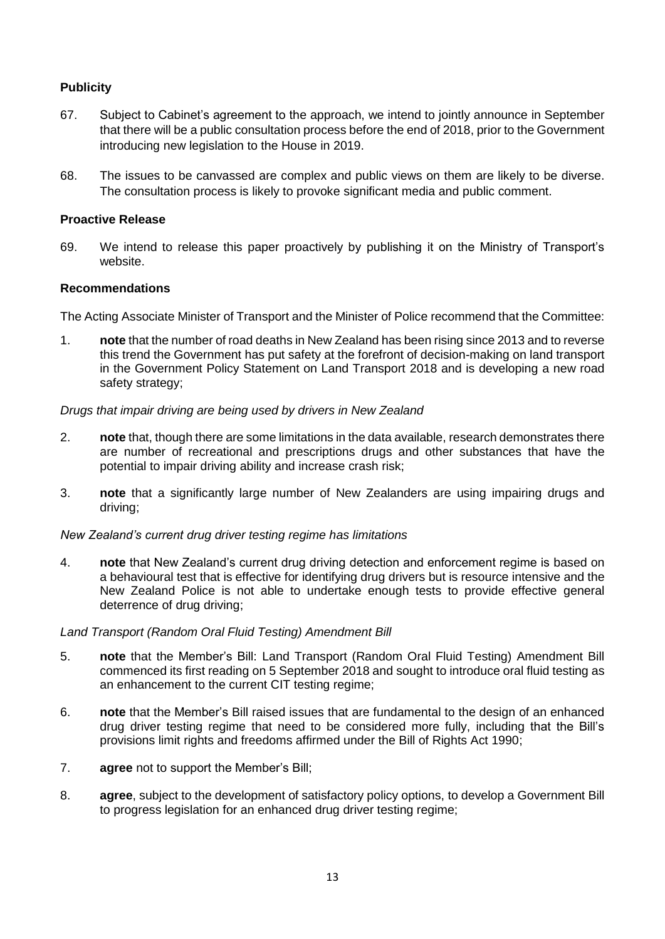# **Publicity**

- 67. Subject to Cabinet's agreement to the approach, we intend to jointly announce in September that there will be a public consultation process before the end of 2018, prior to the Government introducing new legislation to the House in 2019.
- 68. The issues to be canvassed are complex and public views on them are likely to be diverse. The consultation process is likely to provoke significant media and public comment.

### **Proactive Release**

69. We intend to release this paper proactively by publishing it on the Ministry of Transport's website.

### **Recommendations**

The Acting Associate Minister of Transport and the Minister of Police recommend that the Committee:

1. **note** that the number of road deaths in New Zealand has been rising since 2013 and to reverse this trend the Government has put safety at the forefront of decision-making on land transport in the Government Policy Statement on Land Transport 2018 and is developing a new road safety strategy;

## *Drugs that impair driving are being used by drivers in New Zealand*

- 2. **note** that, though there are some limitations in the data available, research demonstrates there are number of recreational and prescriptions drugs and other substances that have the potential to impair driving ability and increase crash risk;
- 3. **note** that a significantly large number of New Zealanders are using impairing drugs and driving;

### *New Zealand's current drug driver testing regime has limitations*

4. **note** that New Zealand's current drug driving detection and enforcement regime is based on a behavioural test that is effective for identifying drug drivers but is resource intensive and the New Zealand Police is not able to undertake enough tests to provide effective general deterrence of drug driving;

### *Land Transport (Random Oral Fluid Testing) Amendment Bill*

- 5. **note** that the Member's Bill: Land Transport (Random Oral Fluid Testing) Amendment Bill commenced its first reading on 5 September 2018 and sought to introduce oral fluid testing as an enhancement to the current CIT testing regime;
- 6. **note** that the Member's Bill raised issues that are fundamental to the design of an enhanced drug driver testing regime that need to be considered more fully, including that the Bill's provisions limit rights and freedoms affirmed under the Bill of Rights Act 1990;
- 7. **agree** not to support the Member's Bill;
- 8. **agree**, subject to the development of satisfactory policy options, to develop a Government Bill to progress legislation for an enhanced drug driver testing regime;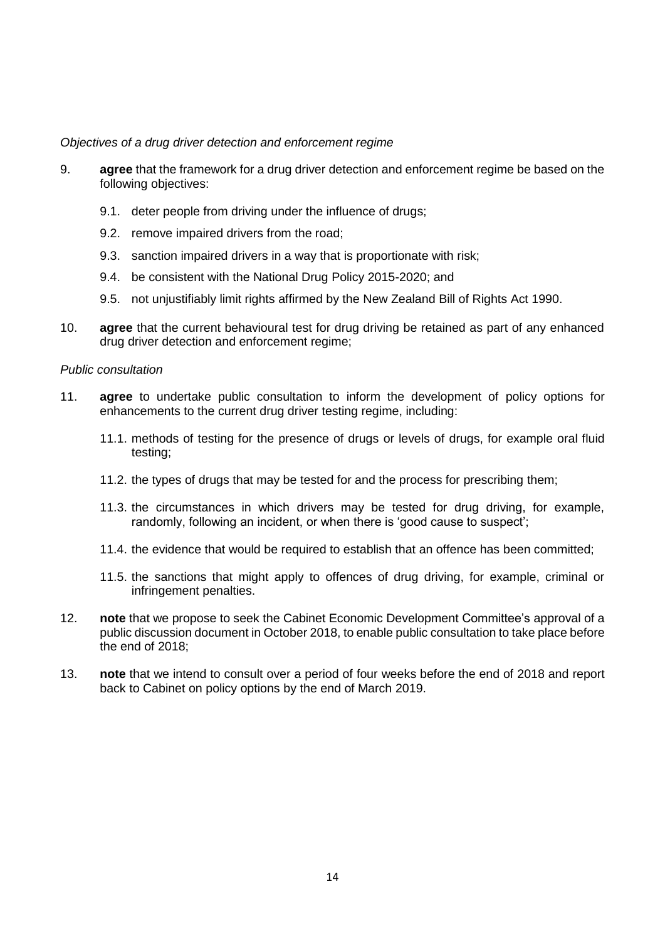#### *Objectives of a drug driver detection and enforcement regime*

- 9. **agree** that the framework for a drug driver detection and enforcement regime be based on the following objectives:
	- 9.1. deter people from driving under the influence of drugs;
	- 9.2. remove impaired drivers from the road;
	- 9.3. sanction impaired drivers in a way that is proportionate with risk;
	- 9.4. be consistent with the National Drug Policy 2015-2020; and
	- 9.5. not unjustifiably limit rights affirmed by the New Zealand Bill of Rights Act 1990.
- 10. **agree** that the current behavioural test for drug driving be retained as part of any enhanced drug driver detection and enforcement regime;

#### *Public consultation*

- 11. **agree** to undertake public consultation to inform the development of policy options for enhancements to the current drug driver testing regime, including:
	- 11.1. methods of testing for the presence of drugs or levels of drugs, for example oral fluid testing;
	- 11.2. the types of drugs that may be tested for and the process for prescribing them;
	- 11.3. the circumstances in which drivers may be tested for drug driving, for example, randomly, following an incident, or when there is 'good cause to suspect';
	- 11.4. the evidence that would be required to establish that an offence has been committed;
	- 11.5. the sanctions that might apply to offences of drug driving, for example, criminal or infringement penalties.
- 12. **note** that we propose to seek the Cabinet Economic Development Committee's approval of a public discussion document in October 2018, to enable public consultation to take place before the end of 2018;
- 13. **note** that we intend to consult over a period of four weeks before the end of 2018 and report back to Cabinet on policy options by the end of March 2019.